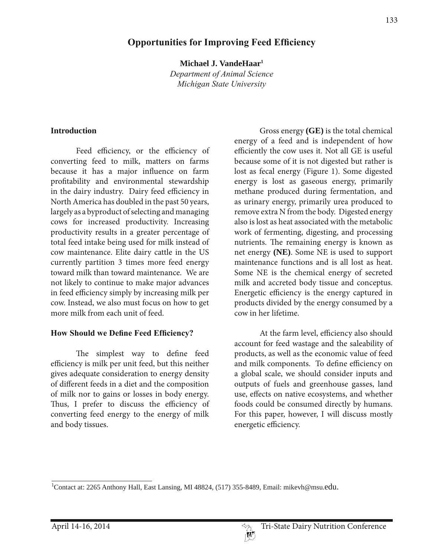# **2Deportunities for Improving Feed Efficiency**

**Michael J. VandeHaar1** 

*Department of Animal Science Michigan State University*

#### **Introduction**

 Feed efficiency, or the efficiency of converting feed to milk, matters on farms because it has a major influence on farm profitability and environmental stewardship in the dairy industry. Dairy feed efficiency in North America has doubled in the past 50 years, largely as a byproduct of selecting and managing cows for increased productivity. Increasing productivity results in a greater percentage of total feed intake being used for milk instead of cow maintenance. Elite dairy cattle in the US currently partition 3 times more feed energy toward milk than toward maintenance. We are not likely to continue to make major advances in feed efficiency simply by increasing milk per cow. Instead, we also must focus on how to get more milk from each unit of feed.

### **How Should we Define Feed Efficiency?**

 The simplest way to define feed efficiency is milk per unit feed, but this neither gives adequate consideration to energy density of different feeds in a diet and the composition of milk nor to gains or losses in body energy. Thus, I prefer to discuss the efficiency of converting feed energy to the energy of milk and body tissues.

 Gross energy **(GE)** is the total chemical energy of a feed and is independent of how efficiently the cow uses it. Not all GE is useful because some of it is not digested but rather is lost as fecal energy (Figure 1). Some digested energy is lost as gaseous energy, primarily methane produced during fermentation, and as urinary energy, primarily urea produced to remove extra N from the body. Digested energy also is lost as heat associated with the metabolic work of fermenting, digesting, and processing nutrients. The remaining energy is known as net energy **(NE)**. Some NE is used to support maintenance functions and is all lost as heat. Some NE is the chemical energy of secreted milk and accreted body tissue and conceptus. Energetic efficiency is the energy captured in products divided by the energy consumed by a cow in her lifetime.

 At the farm level, efficiency also should account for feed wastage and the saleability of products, as well as the economic value of feed and milk components. To define efficiency on a global scale, we should consider inputs and outputs of fuels and greenhouse gasses, land use, effects on native ecosystems, and whether foods could be consumed directly by humans. For this paper, however, I will discuss mostly energetic efficiency.

<sup>&</sup>lt;sup>1</sup>Contact at: 2265 Anthony Hall, East Lansing, MI 48824, (517) 355-8489, Email: mikevh@msu.edu.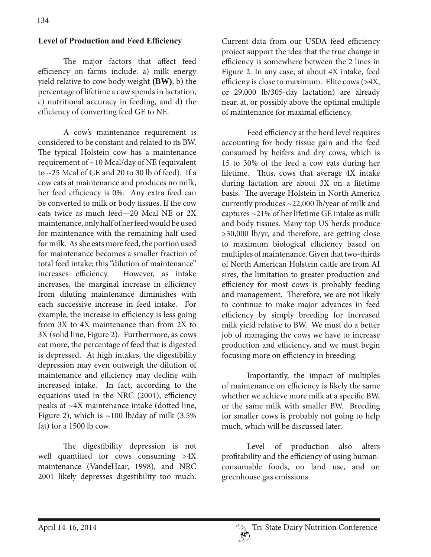# **Level of Production and Feed Efficiency**

 The major factors that affect feed efficiency on farms include: a) milk energy yield relative to cow body weight **(BW)**, b) the percentage of lifetime a cow spends in lactation, c) nutritional accuracy in feeding, and d) the efficiency of converting feed GE to NE.

 A cow's maintenance requirement is considered to be constant and related to its BW. The typical Holstein cow has a maintenance requirement of ~10 Mcal/day of NE (equivalent to ~25 Mcal of GE and 20 to 30 lb of feed). If a cow eats at maintenance and produces no milk, her feed efficiency is 0%. Any extra feed can be converted to milk or body tissues. If the cow eats twice as much feed—20 Mcal NE or 2X maintenance, only half of her feed would be used for maintenance with the remaining half used for milk. As she eats more feed, the portion used for maintenance becomes a smaller fraction of total feed intake; this "dilution of maintenance" increases efficiency. However, as intake increases, the marginal increase in efficiency from diluting maintenance diminishes with each successive increase in feed intake. For example, the increase in efficiency is less going from 3X to 4X maintenance than from 2X to 3X (solid line, Figure 2). Furthermore, as cows eat more, the percentage of feed that is digested is depressed. At high intakes, the digestibility depression may even outweigh the dilution of maintenance and efficiency may decline with increased intake. In fact, according to the equations used in the NRC (2001), efficiency peaks at ~4X maintenance intake (dotted line, Figure 2), which is  $\sim$ 100 lb/day of milk (3.5%) fat) for a 1500 lb cow.

 The digestibility depression is not well quantified for cows consuming >4X maintenance (VandeHaar, 1998), and NRC 2001 likely depresses digestibility too much.

Current data from our USDA feed efficiency project support the idea that the true change in efficiency is somewhere between the 2 lines in Figure 2. In any case, at about 4X intake, feed efficieny is close to maximum. Elite cows (>4X, or 29,000 lb/305-day lactation) are already near, at, or possibly above the optimal multiple of maintenance for maximal efficiency.

 Feed efficiency at the herd level requires accounting for body tissue gain and the feed consumed by heifers and dry cows, which is 15 to 30% of the feed a cow eats during her lifetime. Thus, cows that average 4X intake during lactation are about 3X on a lifetime basis. The average Holstein in North America currently produces ~22,000 lb/year of milk and captures ~21% of her lifetime GE intake as milk and body tissues. Many top US herds produce >30,000 lb/yr, and therefore, are getting close to maximum biological efficiency based on multiples of maintenance. Given that two-thirds of North American Holstein cattle are from AI sires, the limitation to greater production and efficiency for most cows is probably feeding and management. Therefore, we are not likely to continue to make major advances in feed efficiency by simply breeding for increased milk yield relative to BW. We must do a better job of managing the cows we have to increase production and efficiency, and we must begin focusing more on efficiency in breeding.

 Importantly, the impact of multiples of maintenance on efficiency is likely the same whether we achieve more milk at a specific BW, or the same milk with smaller BW. Breeding for smaller cows is probably not going to help much, which will be discussed later.

Level of production also alters profitability and the efficiency of using humanconsumable foods, on land use, and on greenhouse gas emissions.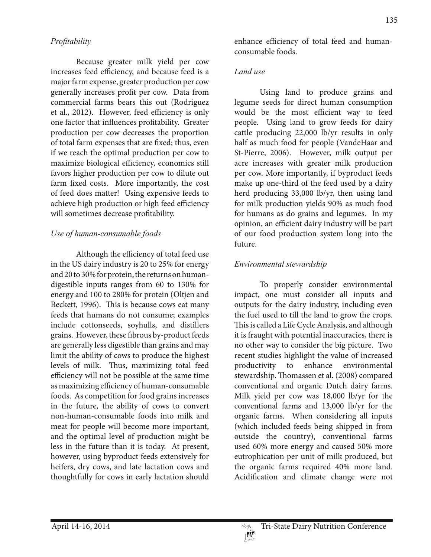#### *3ro¿taEility*

 Because greater milk yield per cow increases feed efficiency, and because feed is a major farm expense, greater production per cow generally increases profit per cow. Data from commercial farms bears this out (Rodriguez et al., 2012). However, feed efficiency is only one factor that influences profitability. Greater production per cow decreases the proportion of total farm expenses that are fixed; thus, even if we reach the optimal production per cow to maximize biological efficiency, economics still favors higher production per cow to dilute out farm fixed costs. More importantly, the cost of feed does matter! Using expensive feeds to achieve high production or high feed efficiency will sometimes decrease profitability.

#### *Use of human-consumable foods*

 Although the efficiency of total feed use in the US dairy industry is 20 to 25% for energy and 20 to 30% for protein, the returns on humandigestible inputs ranges from 60 to 130% for energy and 100 to 280% for protein (Oltjen and Beckett, 1996). This is because cows eat many feeds that humans do not consume; examples include cottonseeds, soyhulls, and distillers grains. However, these fibrous by-product feeds are generally less digestible than grains and may limit the ability of cows to produce the highest levels of milk. Thus, maximizing total feed efficiency will not be possible at the same time as maximizing efficiency of human-consumable foods. As competition for food grains increases in the future, the ability of cows to convert non-human-consumable foods into milk and meat for people will become more important, and the optimal level of production might be less in the future than it is today. At present, however, using byproduct feeds extensively for heifers, dry cows, and late lactation cows and thoughtfully for cows in early lactation should

enhance efficiency of total feed and humanconsumable foods.

### *Land use*

 Using land to produce grains and legume seeds for direct human consumption would be the most efficient way to feed people. Using land to grow feeds for dairy cattle producing 22,000 lb/yr results in only half as much food for people (VandeHaar and St-Pierre, 2006). However, milk output per acre increases with greater milk production per cow. More importantly, if byproduct feeds make up one-third of the feed used by a dairy herd producing 33,000 lb/yr, then using land for milk production yields 90% as much food for humans as do grains and legumes. In my opinion, an efficient dairy industry will be part of our food production system long into the future.

# *Environmental stewardship*

 To properly consider environmental impact, one must consider all inputs and outputs for the dairy industry, including even the fuel used to till the land to grow the crops. This is called a Life Cycle Analysis, and although it is fraught with potential inaccuracies, there is no other way to consider the big picture. Two recent studies highlight the value of increased productivity to enhance environmental stewardship. Thomassen et al. (2008) compared conventional and organic Dutch dairy farms. Milk yield per cow was 18,000 lb/yr for the conventional farms and 13,000 lb/yr for the organic farms. When considering all inputs (which included feeds being shipped in from outside the country), conventional farms used 60% more energy and caused 50% more eutrophication per unit of milk produced, but the organic farms required 40% more land. Acidification and climate change were not

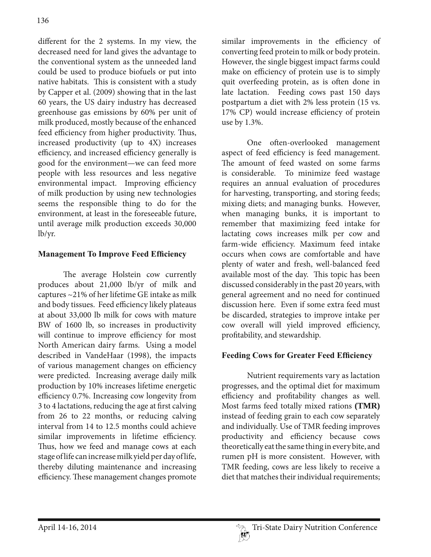different for the 2 systems. In my view, the decreased need for land gives the advantage to the conventional system as the unneeded land could be used to produce biofuels or put into native habitats. This is consistent with a study by Capper et al. (2009) showing that in the last 60 years, the US dairy industry has decreased greenhouse gas emissions by 60% per unit of milk produced, mostly because of the enhanced feed efficiency from higher productivity. Thus, increased productivity (up to 4X) increases efficiency, and increased efficiency generally is good for the environment—we can feed more people with less resources and less negative environmental impact. Improving efficiency of milk production by using new technologies seems the responsible thing to do for the environment, at least in the foreseeable future, until average milk production exceeds 30,000 lb/yr.

## **Management To Improve Feed Efficiency**

 The average Holstein cow currently produces about 21,000 lb/yr of milk and captures ~21% of her lifetime GE intake as milk and body tissues. Feed efficiency likely plateaus at about 33,000 lb milk for cows with mature BW of 1600 lb, so increases in productivity will continue to improve efficiency for most North American dairy farms. Using a model described in VandeHaar (1998), the impacts of various management changes on efficiency were predicted. Increasing average daily milk production by 10% increases lifetime energetic efficiency 0.7%. Increasing cow longevity from 3 to 4 lactations, reducing the age at first calving from 26 to 22 months, or reducing calving interval from 14 to 12.5 months could achieve similar improvements in lifetime efficiency. Thus, how we feed and manage cows at each stage of life can increase milk yield per day of life, thereby diluting maintenance and increasing efficiency. These management changes promote

similar improvements in the efficiency of converting feed protein to milk or body protein. However, the single biggest impact farms could make on efficiency of protein use is to simply quit overfeeding protein, as is often done in late lactation. Feeding cows past 150 days postpartum a diet with 2% less protein (15 vs. 17% CP) would increase efficiency of protein use by 1.3%.

 One often-overlooked management aspect of feed efficiency is feed management. The amount of feed wasted on some farms is considerable. To minimize feed wastage requires an annual evaluation of procedures for harvesting, transporting, and storing feeds; mixing diets; and managing bunks. However, when managing bunks, it is important to remember that maximizing feed intake for lactating cows increases milk per cow and farm-wide efficiency. Maximum feed intake occurs when cows are comfortable and have plenty of water and fresh, well-balanced feed available most of the day. This topic has been discussed considerably in the past 20 years, with general agreement and no need for continued discussion here. Even if some extra feed must be discarded, strategies to improve intake per cow overall will yield improved efficiency, profitability, and stewardship.

## **Feeding Cows for Greater Feed Efficiency**

 Nutrient requirements vary as lactation progresses, and the optimal diet for maximum efficiency and profitability changes as well. Most farms feed totally mixed rations **(TMR)**  instead of feeding grain to each cow separately and individually. Use of TMR feeding improves productivity and efficiency because cows theoretically eat the same thing in every bite, and rumen pH is more consistent. However, with TMR feeding, cows are less likely to receive a diet that matches their individual requirements;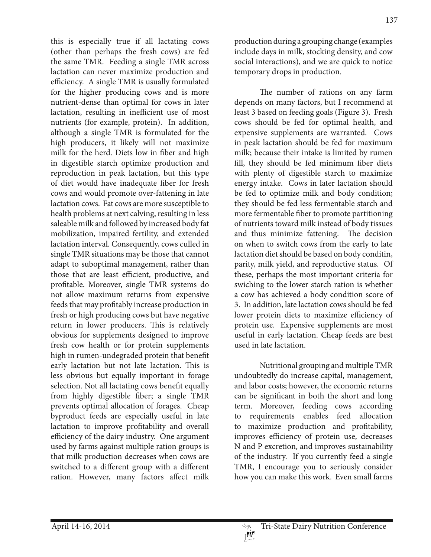this is especially true if all lactating cows (other than perhaps the fresh cows) are fed the same TMR. Feeding a single TMR across lactation can never maximize production and efficiency. A single TMR is usually formulated for the higher producing cows and is more nutrient-dense than optimal for cows in later lactation, resulting in inefficient use of most nutrients (for example, protein). In addition, although a single TMR is formulated for the high producers, it likely will not maximize milk for the herd. Diets low in fiber and high in digestible starch optimize production and reproduction in peak lactation, but this type of diet would have inadequate fiber for fresh cows and would promote over-fattening in late lactation cows. Fat cows are more susceptible to health problems at next calving, resulting in less saleable milk and followed by increased body fat mobilization, impaired fertility, and extended lactation interval. Consequently, cows culled in single TMR situations may be those that cannot adapt to suboptimal management, rather than those that are least efficient, productive, and profitable. Moreover, single TMR systems do not allow maximum returns from expensive feeds that may profitably increase production in fresh or high producing cows but have negative return in lower producers. This is relatively obvious for supplements designed to improve fresh cow health or for protein supplements high in rumen-undegraded protein that benefit early lactation but not late lactation. This is less obvious but equally important in forage selection. Not all lactating cows benefit equally from highly digestible fiber; a single TMR prevents optimal allocation of forages. Cheap byproduct feeds are especially useful in late lactation to improve profitability and overall efficiency of the dairy industry. One argument used by farms against multiple ration groups is that milk production decreases when cows are switched to a different group with a different ration. However, many factors affect milk

137 production during a grouping change (examples include days in milk, stocking density, and cow

 The number of rations on any farm depends on many factors, but I recommend at least 3 based on feeding goals (Figure 3). Fresh cows should be fed for optimal health, and expensive supplements are warranted. Cows in peak lactation should be fed for maximum milk; because their intake is limited by rumen fill, they should be fed minimum fiber diets with plenty of digestible starch to maximize energy intake. Cows in later lactation should be fed to optimize milk and body condition; they should be fed less fermentable starch and more fermentable fiber to promote partitioning of nutrients toward milk instead of body tissues and thus minimize fattening. The decision on when to switch cows from the early to late lactation diet should be based on body conditin, parity, milk yield, and reproductive status. Of these, perhaps the most important criteria for swiching to the lower starch ration is whether a cow has achieved a body condition score of 3. In addition, late lactation cows should be fed lower protein diets to maximize efficiency of protein use. Expensive supplements are most useful in early lactation. Cheap feeds are best used in late lactation.

social interactions), and we are quick to notice

temporary drops in production.

 Nutritional grouping and multiple TMR undoubtedly do increase capital, management, and labor costs; however, the economic returns can be significant in both the short and long term. Moreover, feeding cows according to requirements enables feed allocation to maximize production and profitability, improves efficiency of protein use, decreases N and P excretion, and improves sustainability of the industry. If you currently feed a single TMR, I encourage you to seriously consider how you can make this work. Even small farms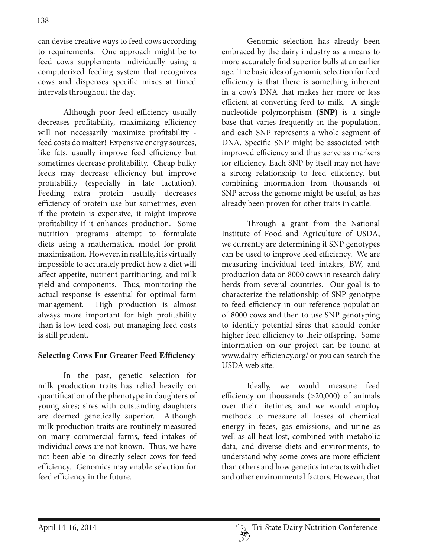can devise creative ways to feed cows according to requirements. One approach might be to feed cows supplements individually using a computerized feeding system that recognizes cows and dispenses specific mixes at timed intervals throughout the day.

 Although poor feed efficiency usually decreases profitability, maximizing efficiency will not necessarily maximize profitability feed costs do matter! Expensive energy sources, like fats, usually improve feed efficiency but sometimes decrease profitability. Cheap bulky feeds may decrease efficiency but improve profitability (especially in late lactation). Feeding extra protein usually decreases efficiency of protein use but sometimes, even if the protein is expensive, it might improve profitability if it enhances production. Some nutrition programs attempt to formulate diets using a mathematical model for profit maximization. However, in real life, it is virtually impossible to accurately predict how a diet will affect appetite, nutrient partitioning, and milk yield and components. Thus, monitoring the actual response is essential for optimal farm management. High production is almost always more important for high profitability than is low feed cost, but managing feed costs is still prudent.

## **Selecting Cows For Greater Feed Efficiency**

 In the past, genetic selection for milk production traits has relied heavily on quantification of the phenotype in daughters of young sires; sires with outstanding daughters are deemed genetically superior. Although milk production traits are routinely measured on many commercial farms, feed intakes of individual cows are not known. Thus, we have not been able to directly select cows for feed efficiency. Genomics may enable selection for feed efficiency in the future.

 Genomic selection has already been embraced by the dairy industry as a means to more accurately find superior bulls at an earlier age. The basic idea of genomic selection for feed efficiency is that there is something inherent in a cow's DNA that makes her more or less efficient at converting feed to milk. A single nucleotide polymorphism **(SNP)** is a single base that varies frequently in the population, and each SNP represents a whole segment of DNA. Specific SNP might be associated with improved efficiency and thus serve as markers for efficiency. Each SNP by itself may not have a strong relationship to feed efficiency, but combining information from thousands of SNP across the genome might be useful, as has already been proven for other traits in cattle.

 Through a grant from the National Institute of Food and Agriculture of USDA, we currently are determining if SNP genotypes can be used to improve feed efficiency. We are measuring individual feed intakes, BW, and production data on 8000 cows in research dairy herds from several countries. Our goal is to characterize the relationship of SNP genotype to feed efficiency in our reference population of 8000 cows and then to use SNP genotyping to identify potential sires that should confer higher feed efficiency to their offspring. Some information on our project can be found at www.dairy-efficiency.org/ or you can search the USDA web site.

 Ideally, we would measure feed efficiency on thousands (>20,000) of animals over their lifetimes, and we would employ methods to measure all losses of chemical energy in feces, gas emissions, and urine as well as all heat lost, combined with metabolic data, and diverse diets and environments, to understand why some cows are more efficient than others and how genetics interacts with diet and other environmental factors. However, that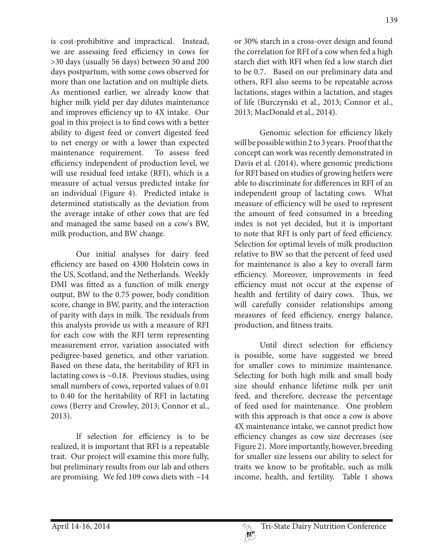is cost-prohibitive and impractical. Instead, we are assessing feed efficiency in cows for >30 days (usually 56 days) between 50 and 200 days postpartum, with some cows observed for more than one lactation and on multiple diets. As mentioned earlier, we already know that higher milk yield per day dilutes maintenance and improves efficiency up to 4X intake. Our goal in this project is to find cows with a better ability to digest feed or convert digested feed to net energy or with a lower than expected maintenance requirement. To assess feed efficiency independent of production level, we will use residual feed intake (RFI), which is a measure of actual versus predicted intake for an individual (Figure 4). Predicted intake is determined statistically as the deviation from the average intake of other cows that are fed and managed the same based on a cow's BW, milk production, and BW change.

 Our initial analyses for dairy feed efficiency are based on 4300 Holstein cows in the US, Scotland, and the Netherlands. Weekly DMI was fitted as a function of milk energy output, BW to the 0.75 power, body condition score, change in BW, parity, and the interaction of parity with days in milk. The residuals from this analysis provide us with a measure of RFI for each cow with the RFI term representing measurement error, variation associated with pedigree-based genetics, and other variation. Based on these data, the heritability of RFI in lactating cows is  $\sim 0.18$ . Previous studies, using small numbers of cows, reported values of 0.01 to 0.40 for the heritability of RFI in lactating cows (Berry and Crowley, 2013; Connor et al., 2013).

 If selection for efficiency is to be realized, it is important that RFI is a repeatable trait. Our project will examine this more fully, but preliminary results from our lab and others are promising. We fed 109 cows diets with  $\sim$ 14 or 30% starch in a cross-over design and found the correlation for RFI of a cow when fed a high starch diet with RFI when fed a low starch diet to be 0.7. Based on our preliminary data and others, RFI also seems to be repeatable across lactations, stages within a lactation, and stages of life (Burczynski et al., 2013; Connor et al., 2013; MacDonald et al., 2014).

 Genomic selection for efficiency likely will be possible within 2 to 3 years. Proof that the concept can work was recently demonstrated in Davis et al. (2014), where genomic predictions for RFI based on studies of growing heifers were able to discriminate for differences in RFI of an independent group of lactating cows. What measure of efficiency will be used to represent the amount of feed consumed in a breeding index is not yet decided, but it is important to note that RFI is only part of feed efficiency. Selection for optimal levels of milk production relative to BW so that the percent of feed used for maintenance is also a key to overall farm efficiency. Moreover, improvements in feed efficiency must not occur at the expense of health and fertility of dairy cows. Thus, we will carefully consider relationships among measures of feed efficiency, energy balance, production, and fitness traits.

 Until direct selection for efficiency is possible, some have suggested we breed for smaller cows to minimize maintenance. Selecting for both high milk and small body size should enhance lifetime milk per unit feed, and therefore, decrease the percentage of feed used for maintenance. One problem with this approach is that once a cow is above 4X maintenance intake, we cannot predict how efficiency changes as cow size decreases (see Figure 2). More importantly, however, breeding for smaller size lessens our ability to select for traits we know to be profitable, such as milk income, health, and fertility. Table 1 shows

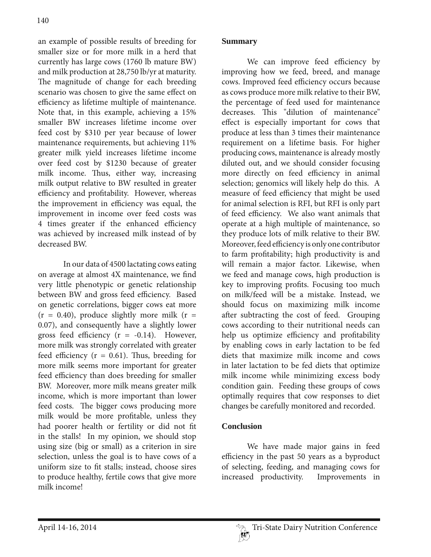an example of possible results of breeding for smaller size or for more milk in a herd that currently has large cows (1760 lb mature BW) and milk production at 28,750 lb/yr at maturity. The magnitude of change for each breeding scenario was chosen to give the same effect on efficiency as lifetime multiple of maintenance. Note that, in this example, achieving a 15% smaller BW increases lifetime income over feed cost by \$310 per year because of lower maintenance requirements, but achieving 11% greater milk yield increases lifetime income over feed cost by \$1230 because of greater milk income. Thus, either way, increasing milk output relative to BW resulted in greater efficiency and profitability. However, whereas the improvement in efficiency was equal, the improvement in income over feed costs was 4 times greater if the enhanced efficiency was achieved by increased milk instead of by decreased BW.

 In our data of 4500 lactating cows eating on average at almost 4X maintenance, we find very little phenotypic or genetic relationship between BW and gross feed efficiency. Based on genetic correlations, bigger cows eat more  $(r = 0.40)$ , produce slightly more milk  $(r =$ 0.07), and consequently have a slightly lower gross feed efficiency  $(r = -0.14)$ . However, more milk was strongly correlated with greater feed efficiency ( $r = 0.61$ ). Thus, breeding for more milk seems more important for greater feed efficiency than does breeding for smaller BW. Moreover, more milk means greater milk income, which is more important than lower feed costs. The bigger cows producing more milk would be more profitable, unless they had poorer health or fertility or did not fit in the stalls! In my opinion, we should stop using size (big or small) as a criterion in sire selection, unless the goal is to have cows of a uniform size to fit stalls; instead, choose sires to produce healthy, fertile cows that give more milk income!

 We can improve feed efficiency by improving how we feed, breed, and manage cows. Improved feed efficiency occurs because as cows produce more milk relative to their BW, the percentage of feed used for maintenance decreases. This "dilution of maintenance" effect is especially important for cows that produce at less than 3 times their maintenance requirement on a lifetime basis. For higher producing cows, maintenance is already mostly diluted out, and we should consider focusing more directly on feed efficiency in animal selection; genomics will likely help do this. A measure of feed efficiency that might be used for animal selection is RFI, but RFI is only part of feed efficiency. We also want animals that operate at a high multiple of maintenance, so they produce lots of milk relative to their BW. Moreover, feed efficiency is only one contributor to farm profitability; high productivity is and will remain a major factor. Likewise, when we feed and manage cows, high production is key to improving profits. Focusing too much on milk/feed will be a mistake. Instead, we should focus on maximizing milk income after subtracting the cost of feed. Grouping cows according to their nutritional needs can help us optimize efficiency and profitability by enabling cows in early lactation to be fed diets that maximize milk income and cows in later lactation to be fed diets that optimize milk income while minimizing excess body condition gain. Feeding these groups of cows optimally requires that cow responses to diet changes be carefully monitored and recorded.

# **Conclusion**

 We have made major gains in feed efficiency in the past 50 years as a byproduct of selecting, feeding, and managing cows for increased productivity. Improvements in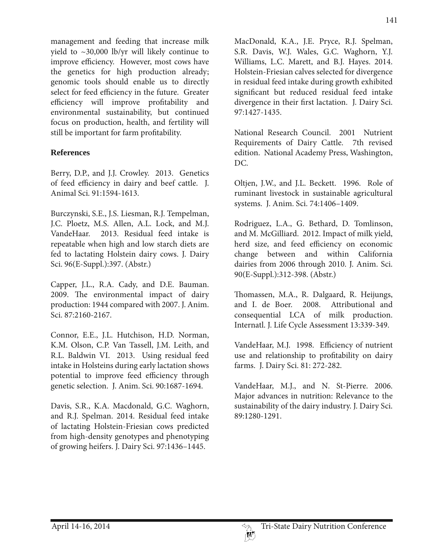management and feeding that increase milk yield to  $\sim$ 30,000 lb/yr will likely continue to improve efficiency. However, most cows have the genetics for high production already; genomic tools should enable us to directly select for feed efficiency in the future. Greater efficiency will improve profitability and environmental sustainability, but continued focus on production, health, and fertility will still be important for farm profitability.

### **References**

Berry, D.P., and J.J. Crowley. 2013. Genetics of feed efficiency in dairy and beef cattle. J. Animal Sci. 91:1594-1613.

Burczynski, S.E., J.S. Liesman, R.J. Tempelman, J.C. Ploetz, M.S. Allen, A.L. Lock, and M.J. VandeHaar. 2013. Residual feed intake is repeatable when high and low starch diets are fed to lactating Holstein dairy cows. J. Dairy Sci. 96(E-Suppl.):397. (Abstr.)

Capper, J.L., R.A. Cady, and D.E. Bauman. 2009. The environmental impact of dairy production: 1944 compared with 2007. J. Anim. Sci. 87:2160-2167.

Connor, E.E., J.L. Hutchison, H.D. Norman, K.M. Olson, C.P. Van Tassell, J.M. Leith, and R.L. Baldwin VI. 2013. Using residual feed intake in Holsteins during early lactation shows potential to improve feed efficiency through genetic selection. J. Anim. Sci. 90:1687-1694.

Davis, S.R., K.A. Macdonald, G.C. Waghorn, and R.J. Spelman. 2014. Residual feed intake of lactating Holstein-Friesian cows predicted from high-density genotypes and phenotyping of growing heifers. J. Dairy Sci. 97:1436–1445.

MacDonald, K.A., J.E. Pryce, R.J. Spelman, S.R. Davis, W.J. Wales, G.C. Waghorn, Y.J. Williams, L.C. Marett, and B.J. Hayes. 2014. Holstein-Friesian calves selected for divergence in residual feed intake during growth exhibited significant but reduced residual feed intake divergence in their first lactation. J. Dairy Sci. 97:1427-1435.

National Research Council. 2001 Nutrient Requirements of Dairy Cattle. 7th revised edition. National Academy Press, Washington, DC.

Oltjen, J.W., and J.L. Beckett. 1996. Role of ruminant livestock in sustainable agricultural systems. J. Anim. Sci. 74:1406–1409.

Rodriguez, L.A., G. Bethard, D. Tomlinson, and M. McGilliard. 2012. Impact of milk yield, herd size, and feed efficiency on economic change between and within California dairies from 2006 through 2010. J. Anim. Sci. 90(E-Suppl.):312-398. (Abstr.)

Thomassen, M.A., R. Dalgaard, R. Heijungs, and I. de Boer. 2008. Attributional and consequential LCA of milk production. Internatl. J. Life Cycle Assessment 13:339-349.

VandeHaar, M.J. 1998. Efficiency of nutrient use and relationship to profitability on dairy farms. J. Dairy Sci. 81: 272-282.

VandeHaar, M.J., and N. St-Pierre. 2006. Major advances in nutrition: Relevance to the sustainability of the dairy industry. J. Dairy Sci. 89:1280-1291.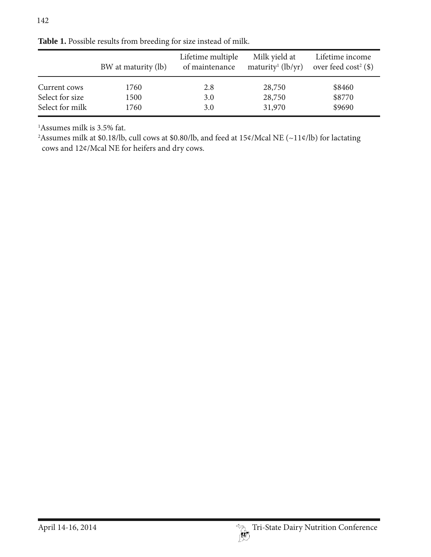|                                 | BW at maturity (lb) | Lifetime multiple<br>of maintenance | Milk yield at<br>maturity <sup>1</sup> (lb/yr) | Lifetime income<br>over feed $cost^2$ (\$) |
|---------------------------------|---------------------|-------------------------------------|------------------------------------------------|--------------------------------------------|
| Current cows<br>Select for size | 1760<br>1500        | 2.8<br>3.0                          | 28,750<br>28,750                               | \$8460<br>\$8770                           |
| Select for milk                 | 1760                | 3.0                                 | 31,970                                         | \$9690                                     |

**Table 1.** Possible results from breeding for size instead of milk.

1 Assumes milk is 3.5% fat.

<sup>2</sup> Assumes milk at \$0.18/lb, cull cows at \$0.80/lb, and feed at 15¢/Mcal NE (~11¢/lb) for lactating cows and 12¢/Mcal NE for heifers and dry cows.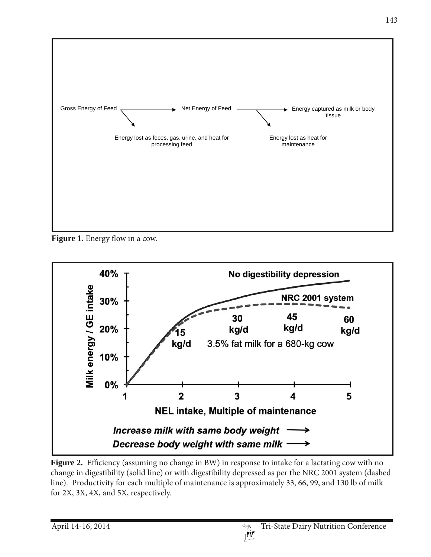

**Figure 1.** Energy flow in a cow.



**Figure 2.** Efficiency (assuming no change in BW) in response to intake for a lactating cow with no change in digestibility (solid line) or with digestibility depressed as per the NRC 2001 system (dashed line). Productivity for each multiple of maintenance is approximately 33, 66, 99, and 130 lb of milk for 2X, 3X, 4X, and 5X, respectively.